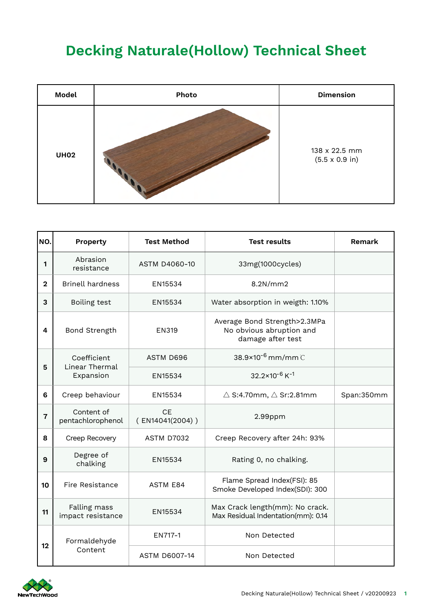## **Decking Naturale(Hollow) Technical Sheet**

| Model       | Photo | <b>Dimension</b>                               |
|-------------|-------|------------------------------------------------|
| <b>UH02</b> |       | 138 x 22.5 mm<br>$(5.5 \times 0.9 \text{ in})$ |

| NO.                     | Property                                   | <b>Test Method</b>           | <b>Test results</b>                                                           | Remark     |
|-------------------------|--------------------------------------------|------------------------------|-------------------------------------------------------------------------------|------------|
| 1                       | Abrasion<br>resistance                     | <b>ASTM D4060-10</b>         | 33mg(1000cycles)                                                              |            |
| $\mathbf 2$             | <b>Brinell hardness</b>                    | EN15534                      | 8.2N/mm2                                                                      |            |
| 3                       | Boiling test                               | EN15534                      | Water absorption in weigth: 1.10%                                             |            |
| 4                       | Bond Strength                              | <b>EN319</b>                 | Average Bond Strength>2.3MPa<br>No obvious abruption and<br>damage after test |            |
| 5                       | Coefficient<br>Linear Thermal<br>Expansion | ASTM D696                    | 38.9×10 <sup>-6</sup> mm/mm C                                                 |            |
|                         |                                            | EN15534                      | $32.2 \times 10^{-6}$ K <sup>-1</sup>                                         |            |
| 6                       | Creep behaviour                            | EN15534                      | $\triangle$ S:4.70mm, $\triangle$ Sr:2.81mm                                   | Span:350mm |
| $\overline{\mathbf{r}}$ | Content of<br>pentachlorophenol            | <b>CE</b><br>(EN14041(2004)) | $2.99$ ppm                                                                    |            |
| 8                       | Creep Recovery                             | <b>ASTM D7032</b>            | Creep Recovery after 24h: 93%                                                 |            |
| 9                       | Degree of<br>chalking                      | EN15534                      | Rating 0, no chalking.                                                        |            |
| 10                      | Fire Resistance                            | <b>ASTM E84</b>              | Flame Spread Index(FSI): 85<br>Smoke Developed Index(SDI): 300                |            |
| 11                      | Falling mass<br>impact resistance          | EN15534                      | Max Crack length(mm): No crack.<br>Max Residual Indentation(mm): 0.14         |            |
| 12                      | Formaldehyde                               | EN717-1                      | Non Detected                                                                  |            |
|                         | Content                                    | <b>ASTM D6007-14</b>         | Non Detected                                                                  |            |

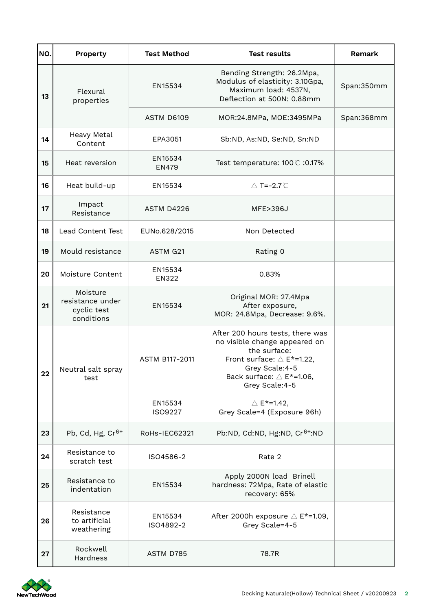| NO. | <b>Property</b>                                           | <b>Test Method</b>      | <b>Test results</b>                                                                                                                                                                                | Remark     |
|-----|-----------------------------------------------------------|-------------------------|----------------------------------------------------------------------------------------------------------------------------------------------------------------------------------------------------|------------|
| 13  | Flexural<br>properties                                    | EN15534                 | Bending Strength: 26.2Mpa,<br>Modulus of elasticity: 3.10Gpa,<br>Maximum load: 4537N,<br>Deflection at 500N: 0.88mm                                                                                | Span:350mm |
|     |                                                           | ASTM D6109              | MOR:24.8MPa, MOE:3495MPa                                                                                                                                                                           | Span:368mm |
| 14  | Heavy Metal<br>Content                                    | EPA3051                 | Sb:ND, As:ND, Se:ND, Sn:ND                                                                                                                                                                         |            |
| 15  | Heat reversion                                            | EN15534<br><b>EN479</b> | Test temperature: 100 ℃ :0.17%                                                                                                                                                                     |            |
| 16  | Heat build-up                                             | EN15534                 | △ T=-2.7 C                                                                                                                                                                                         |            |
| 17  | Impact<br>Resistance                                      | ASTM D4226              | MFE>396J                                                                                                                                                                                           |            |
| 18  | Lead Content Test                                         | EUNo.628/2015           | Non Detected                                                                                                                                                                                       |            |
| 19  | Mould resistance                                          | ASTM G21                | Rating 0                                                                                                                                                                                           |            |
| 20  | Moisture Content                                          | EN15534<br>EN322        | 0.83%                                                                                                                                                                                              |            |
| 21  | Moisture<br>resistance under<br>cyclic test<br>conditions | EN15534                 | Original MOR: 27.4Mpa<br>After exposure,<br>MOR: 24.8Mpa, Decrease: 9.6%.                                                                                                                          |            |
| 22  | Neutral salt spray<br>test                                | <b>ASTM B117-2011</b>   | After 200 hours tests, there was<br>no visible change appeared on<br>the surface:<br>Front surface: $\triangle$ E*=1.22,<br>Grey Scale:4-5<br>Back surface: $\triangle$ E*=1.06,<br>Grey Scale:4-5 |            |
|     |                                                           | EN15534<br>ISO9227      | $\triangle$ E <sup>*</sup> =1.42,<br>Grey Scale=4 (Exposure 96h)                                                                                                                                   |            |
| 23  | Pb, Cd, Hg, $Cr6+$                                        | RoHs-IEC62321           | Pb:ND, Cd:ND, Hg:ND, Cr <sup>6+</sup> :ND                                                                                                                                                          |            |
| 24  | Resistance to<br>scratch test                             | ISO4586-2               | Rate 2                                                                                                                                                                                             |            |
| 25  | Resistance to<br>indentation                              | EN15534                 | Apply 2000N load Brinell<br>hardness: 72Mpa, Rate of elastic<br>recovery: 65%                                                                                                                      |            |
| 26  | Resistance<br>to artificial<br>weathering                 | EN15534<br>ISO4892-2    | After 2000h exposure $\triangle$ E*=1.09,<br>Grey Scale=4-5                                                                                                                                        |            |
| 27  | Rockwell<br>Hardness                                      | ASTM D785               | 78.7R                                                                                                                                                                                              |            |